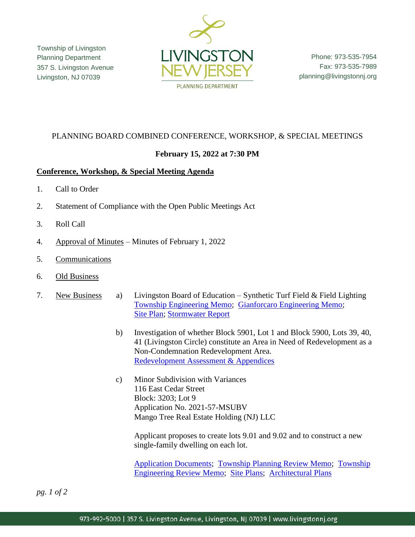Township of Livingston Planning Department 357 S. Livingston Avenue Livingston, NJ 07039



Phone: 973-535-7954 Fax: 973-535-7989 planning@livingstonnj.org

# PLANNING BOARD COMBINED CONFERENCE, WORKSHOP, & SPECIAL MEETINGS

# **February 15, 2022 at 7:30 PM**

### **Conference, Workshop, & Special Meeting Agenda**

- 1. Call to Order
- 2. Statement of Compliance with the Open Public Meetings Act
- 3. Roll Call
- 4. Approval of Minutes Minutes of February 1, 2022
- 5. Communications
- 6. Old Business
- 7. New Business a) Livingston Board of Education Synthetic Turf Field & Field Lighting [Township Engineering Memo;](http://livingstonnj.org/DocumentCenter/View/13210/Board-of-Ed---High-School-Turf-Field---Township-Engineering-Memo) [Gianforcaro Engineering Memo;](http://livingstonnj.org/DocumentCenter/View/13209/Board-of-Ed---High-School-Turf-Field---Gianforcaro-Engineering-Response-Memo) [Site Plan;](http://livingstonnj.org/DocumentCenter/View/13212/Board-of-Ed---High-School-Turf-Field---Site-Plans) [Stormwater Report](http://livingstonnj.org/DocumentCenter/View/13211/Board-of-Ed---High-School-Turf-Field---Stormwater-Report)
	- b) Investigation of whether Block 5901, Lot 1 and Block 5900, Lots 39, 40, 41 (Livingston Circle) constitute an Area in Need of Redevelopment as a Non-Condemnation Redevelopment Area. [Redevelopment Assessment](https://www.livingstonnj.org/DocumentCenter/View/13221/Livingston-Circle-Redevelopment-Assessment-01-2022) & Appendices
	- c) Minor Subdivision with Variances 116 East Cedar Street Block: 3203; Lot 9 Application No. 2021-57-MSUBV Mango Tree Real Estate Holding (NJ) LLC

Applicant proposes to create lots 9.01 and 9.02 and to construct a new single-family dwelling on each lot.

[Application Documents;](http://livingstonnj.org/DocumentCenter/View/13204/116-E-Cedar-St---Application-Docs) [Township Planning Review Memo;](http://livingstonnj.org/DocumentCenter/View/13208/116-E-Cedar-St---Planning-Review-REVISED) [Township](http://livingstonnj.org/DocumentCenter/View/13207/116-E-Cedar-St---Engineering-Review-Memo) [Engineering Review Memo;](http://livingstonnj.org/DocumentCenter/View/13207/116-E-Cedar-St---Engineering-Review-Memo) [Site Plans;](http://livingstonnj.org/DocumentCenter/View/13205/116-E-Cedar-St---Site-Plan) [Architectural Plans](http://livingstonnj.org/DocumentCenter/View/13206/116-E-Cedar-St---Architectural-Plan)

*pg. 1 of 2*